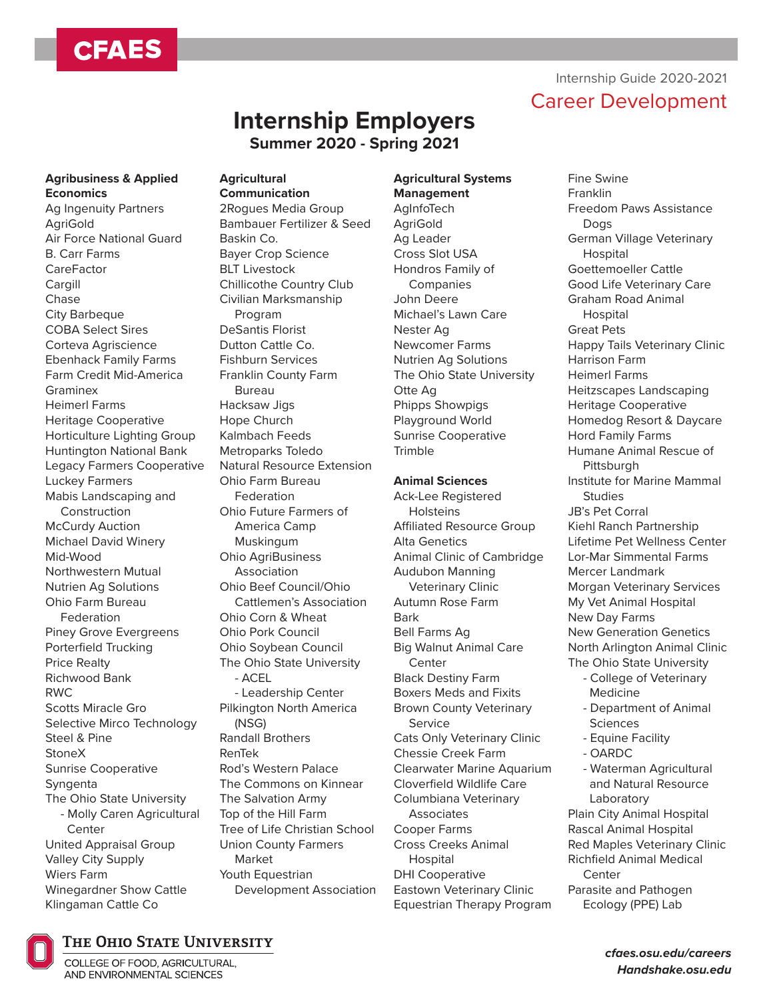# **CFAES**

# Career Development **Internship Employers**

**Summer 2020 - Spring 2021**

## **Agribusiness & Applied Economics**

Ag Ingenuity Partners AgriGold Air Force National Guard B. Carr Farms **CareFactor** Cargill Chase City Barbeque COBA Select Sires Corteva Agriscience Ebenhack Family Farms Farm Credit Mid-America Graminex Heimerl Farms Heritage Cooperative Horticulture Lighting Group Huntington National Bank Legacy Farmers Cooperative Luckey Farmers Mabis Landscaping and Construction McCurdy Auction Michael David Winery Mid-Wood Northwestern Mutual Nutrien Ag Solutions Ohio Farm Bureau Federation Piney Grove Evergreens Porterfield Trucking Price Realty Richwood Bank RWC Scotts Miracle Gro Selective Mirco Technology Steel & Pine StoneX Sunrise Cooperative Syngenta The Ohio State University - Molly Caren Agricultural **Center** United Appraisal Group Valley City Supply Wiers Farm Winegardner Show Cattle Klingaman Cattle Co

#### **Agricultural Communication**

2Rogues Media Group Bambauer Fertilizer & Seed Baskin Co. Bayer Crop Science BLT Livestock Chillicothe Country Club Civilian Marksmanship Program DeSantis Florist Dutton Cattle Co. Fishburn Services Franklin County Farm Bureau Hacksaw Jigs Hope Church Kalmbach Feeds Metroparks Toledo Natural Resource Extension Ohio Farm Bureau Federation Ohio Future Farmers of America Camp Muskingum Ohio AgriBusiness Association Ohio Beef Council/Ohio Cattlemen's Association Ohio Corn & Wheat Ohio Pork Council Ohio Soybean Council The Ohio State University - ACEL - Leadership Center Pilkington North America (NSG) Randall Brothers RenTek Rod's Western Palace The Commons on Kinnear The Salvation Army Top of the Hill Farm Tree of Life Christian School Union County Farmers Market Youth Equestrian Development Association

# **Agricultural Systems**

**Management** AgInfoTech **AgriGold** Ag Leader Cross Slot USA Hondros Family of Companies John Deere Michael's Lawn Care Nester Ag Newcomer Farms Nutrien Ag Solutions The Ohio State University Otte Ag Phipps Showpigs Playground World Sunrise Cooperative **Trimble** 

# **Animal Sciences**

Ack-Lee Registered **Holsteins** Affiliated Resource Group Alta Genetics Animal Clinic of Cambridge Audubon Manning Veterinary Clinic Autumn Rose Farm Bark Bell Farms Ag Big Walnut Animal Care **Center** Black Destiny Farm Boxers Meds and Fixits Brown County Veterinary Service Cats Only Veterinary Clinic Chessie Creek Farm Clearwater Marine Aquarium Cloverfield Wildlife Care Columbiana Veterinary **Associates** Cooper Farms Cross Creeks Animal Hospital DHI Cooperative Eastown Veterinary Clinic Equestrian Therapy Program

# Internship Guide 2020-2021

Fine Swine Franklin Freedom Paws Assistance Dogs German Village Veterinary **Hospital** Goettemoeller Cattle Good Life Veterinary Care Graham Road Animal **Hospital** Great Pets Happy Tails Veterinary Clinic Harrison Farm Heimerl Farms Heitzscapes Landscaping Heritage Cooperative Homedog Resort & Daycare Hord Family Farms Humane Animal Rescue of **Pittsburgh** Institute for Marine Mammal **Studies** JB's Pet Corral Kiehl Ranch Partnership Lifetime Pet Wellness Center Lor-Mar Simmental Farms Mercer Landmark Morgan Veterinary Services My Vet Animal Hospital New Day Farms New Generation Genetics North Arlington Animal Clinic The Ohio State University - College of Veterinary Medicine - Department of Animal **Sciences** - Equine Facility - OARDC - Waterman Agricultural and Natural Resource Laboratory Plain City Animal Hospital Rascal Animal Hospital Red Maples Veterinary Clinic Richfield Animal Medical **Center** Parasite and Pathogen Ecology (PPE) Lab



# THE OHIO STATE UNIVERSITY

COLLEGE OF FOOD, AGRICULTURAL, AND ENVIRONMENTAL SCIENCES